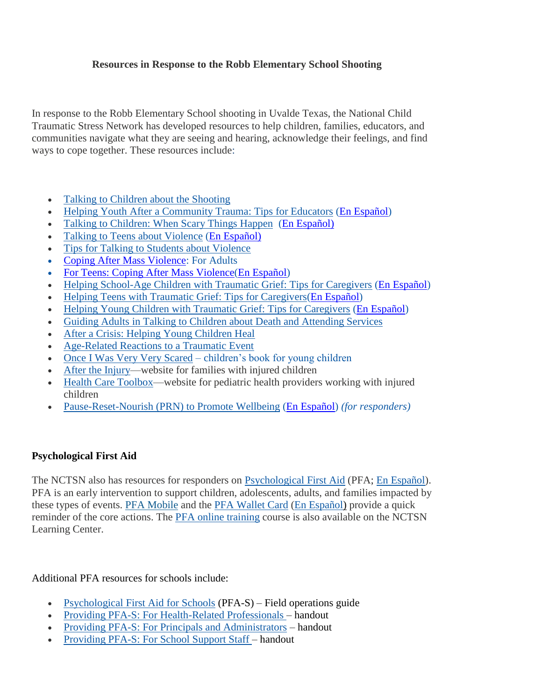# **Resources in Response to the Robb Elementary School Shooting**

In response to the Robb Elementary School shooting in Uvalde Texas, the National Child Traumatic Stress Network has developed resources to help children, families, educators, and communities navigate what they are seeing and hearing, acknowledge their feelings, and find ways to cope together. These resources include:

- Talking to Children about the Shooting
- Helping Youth After a Community Trauma: Tips for Educators [\(En Español\)](https://nam12.safelinks.protection.outlook.com/?url=https%3A%2F%2Furldefense.com%2Fv3%2F__https%3A%2Fwww.nctsn.org%2Fresources%2Fhelping-youth-after-community-trauma-tips-educators-sp__%3B!!OToaGQ!tnXh2qQqYLQHv8rOO-R4UjnpFOIosqt0XYyRIM7WyGa_plB37Kls80u5uTZrO6BPbYtEGPAF0DmEHsdKpPtwLepZtEcJ%24&data=05%7C01%7Cmboyd%40smartstart.org%7C5f5ee2cef6ec4334a66008da3e63f822%7Cd5e60c50e93e4700a247e8ba25462c1c%7C0%7C0%7C637890896366432954%7CUnknown%7CTWFpbGZsb3d8eyJWIjoiMC4wLjAwMDAiLCJQIjoiV2luMzIiLCJBTiI6Ik1haWwiLCJXVCI6Mn0%3D%7C3000%7C%7C%7C&sdata=CRLEfvyFR%2FV9jwXNiPRVzZfvHFuheUesOaqqvYpFujI%3D&reserved=0)
- [Talking to Children: When Scary Things Happen](https://nam12.safelinks.protection.outlook.com/?url=https%3A%2F%2Furldefense.com%2Fv3%2F__https%3A%2Fdrive.google.com%2Ffile%2Fd%2F1Mc8dsD-AYBupNgXeI97BrVmKvoGWQrgw%2Fview__%3B!!OToaGQ!tnXh2qQqYLQHv8rOO-R4UjnpFOIosqt0XYyRIM7WyGa_plB37Kls80u5uTZrO6BPbYtEGPAF0DmEHsdKpPtwLbFpcBnn%24&data=05%7C01%7Cmboyd%40smartstart.org%7C5f5ee2cef6ec4334a66008da3e63f822%7Cd5e60c50e93e4700a247e8ba25462c1c%7C0%7C0%7C637890896366432954%7CUnknown%7CTWFpbGZsb3d8eyJWIjoiMC4wLjAwMDAiLCJQIjoiV2luMzIiLCJBTiI6Ik1haWwiLCJXVCI6Mn0%3D%7C3000%7C%7C%7C&sdata=Y6hV0LKsgOXaUQ439%2FaxVpoc1P1mfC0lSSu9pIB5w8Q%3D&reserved=0) [\(En Español\)](https://nam12.safelinks.protection.outlook.com/?url=https%3A%2F%2Furldefense.com%2Fv3%2F__https%3A%2Fdrive.google.com%2Ffile%2Fd%2F181pGktEIcnqxyRmQJuaBJ6d0Vjg5K-z6%2Fview__%3B!!OToaGQ!tnXh2qQqYLQHv8rOO-R4UjnpFOIosqt0XYyRIM7WyGa_plB37Kls80u5uTZrO6BPbYtEGPAF0DmEHsdKpPtwLcfCzhFl%24&data=05%7C01%7Cmboyd%40smartstart.org%7C5f5ee2cef6ec4334a66008da3e63f822%7Cd5e60c50e93e4700a247e8ba25462c1c%7C0%7C0%7C637890896366432954%7CUnknown%7CTWFpbGZsb3d8eyJWIjoiMC4wLjAwMDAiLCJQIjoiV2luMzIiLCJBTiI6Ik1haWwiLCJXVCI6Mn0%3D%7C3000%7C%7C%7C&sdata=h24ZiIegO3PFTAD5Xu%2FpP4dp0un1qtRfOM%2FUM5LiznA%3D&reserved=0)
- [Talking to Teens about Violence](https://nam12.safelinks.protection.outlook.com/?url=https%3A%2F%2Furldefense.com%2Fv3%2F__https%3A%2Fdrive.google.com%2Ffile%2Fd%2F1fnP6HTUyJO-sdRJ0bgYJ6V8UrSIWTjJv%2Fview__%3B!!OToaGQ!tnXh2qQqYLQHv8rOO-R4UjnpFOIosqt0XYyRIM7WyGa_plB37Kls80u5uTZrO6BPbYtEGPAF0DmEHsdKpPtwLfpJ_v-Q%24&data=05%7C01%7Cmboyd%40smartstart.org%7C5f5ee2cef6ec4334a66008da3e63f822%7Cd5e60c50e93e4700a247e8ba25462c1c%7C0%7C0%7C637890896366432954%7CUnknown%7CTWFpbGZsb3d8eyJWIjoiMC4wLjAwMDAiLCJQIjoiV2luMzIiLCJBTiI6Ik1haWwiLCJXVCI6Mn0%3D%7C3000%7C%7C%7C&sdata=uno7eEXDlsojKG%2BHOQDo6AI9DwizoqTnfyTMpUr%2B0js%3D&reserved=0) [\(En Español\)](https://nam12.safelinks.protection.outlook.com/?url=https%3A%2F%2Furldefense.com%2Fv3%2F__https%3A%2Fibsweb.colorado.edu%2Fcrw%2Fwp-content%2Fuploads%2Fsites%2F7%2F2021%2F04%2FCRWS_Spanish_Talking-to-Teens_Violent-Events.pdf__%3B!!OToaGQ!tnXh2qQqYLQHv8rOO-R4UjnpFOIosqt0XYyRIM7WyGa_plB37Kls80u5uTZrO6BPbYtEGPAF0DmEHsdKpPtwLaKkD3W6%24&data=05%7C01%7Cmboyd%40smartstart.org%7C5f5ee2cef6ec4334a66008da3e63f822%7Cd5e60c50e93e4700a247e8ba25462c1c%7C0%7C0%7C637890896366432954%7CUnknown%7CTWFpbGZsb3d8eyJWIjoiMC4wLjAwMDAiLCJQIjoiV2luMzIiLCJBTiI6Ik1haWwiLCJXVCI6Mn0%3D%7C3000%7C%7C%7C&sdata=HFvtzV9h%2BVKV6EjDwFg3mv24X4%2BmOSqj%2FOcWLFTfl1A%3D&reserved=0)
- [Tips for Talking to Students about Violence](https://nam12.safelinks.protection.outlook.com/?url=https%3A%2F%2Furldefense.com%2Fv3%2F__https%3A%2Fdrive.google.com%2Ffile%2Fd%2F1DO7aqM23ad4Q5wWZyHR1ghFscQtWdALZ%2Fview__%3B!!OToaGQ!tnXh2qQqYLQHv8rOO-R4UjnpFOIosqt0XYyRIM7WyGa_plB37Kls80u5uTZrO6BPbYtEGPAF0DmEHsdKpPtwLcEqEl9G%24&data=05%7C01%7Cmboyd%40smartstart.org%7C5f5ee2cef6ec4334a66008da3e63f822%7Cd5e60c50e93e4700a247e8ba25462c1c%7C0%7C0%7C637890896366432954%7CUnknown%7CTWFpbGZsb3d8eyJWIjoiMC4wLjAwMDAiLCJQIjoiV2luMzIiLCJBTiI6Ik1haWwiLCJXVCI6Mn0%3D%7C3000%7C%7C%7C&sdata=J6Bp81CvqNXh15bZkLXkFLY4pE2RHjvlmhGU4C%2Fya0E%3D&reserved=0)
- [Coping After Mass Violence:](https://nam12.safelinks.protection.outlook.com/?url=https%3A%2F%2Furldefense.com%2Fv3%2F__https%3A%2Fnam12.safelinks.protection.outlook.com%2F%3Furl%3Dhttps*3A*2F*2Fwww.nctsn.org*2Fresources*2Fcoping-after-mass-violence%26data%3D05*7C01*7Cmsommerville*40bestselfwny.org*7C9cc7b3a66ee1407b93cd08da384060f6*7C5fde4e13381544908af9179c523986a4*7C0*7C0*7C637884147173072305*7CUnknown*7CTWFpbGZsb3d8eyJWIjoiMC4wLjAwMDAiLCJQIjoiV2luMzIiLCJBTiI6Ik1haWwiLCJXVCI6Mn0*3D*7C3000*7C*7C*7C%26sdata%3DTuXvdiCTQsw7noOO1y0m13M4xmu9K2pYNAnmRejFQaY*3D%26reserved%3D0__%3BJSUlJSUlJSUlJSUlJSUlJSUlJSUl!!F9wkZZsI-LA!DvCYO2OfdJmlrFhVf6w3GdstfuUP-Cklkd8EVz5hJEkymxQ9x6lDGR76_lpaCGtN6slPBMX2a35VF5Toy6yGMQiqZUs4xbGPJQ%24&data=05%7C01%7Cmboyd%40smartstart.org%7C5f5ee2cef6ec4334a66008da3e63f822%7Cd5e60c50e93e4700a247e8ba25462c1c%7C0%7C0%7C637890896366432954%7CUnknown%7CTWFpbGZsb3d8eyJWIjoiMC4wLjAwMDAiLCJQIjoiV2luMzIiLCJBTiI6Ik1haWwiLCJXVCI6Mn0%3D%7C3000%7C%7C%7C&sdata=aMaYhvcmur10uFqD2Rf4d4h9z3nnejPs32ZU9OEOfB0%3D&reserved=0) For Adults
- For Teens: Coping After Mass Violence[\(En Español\)](https://nam12.safelinks.protection.outlook.com/?url=https%3A%2F%2Furldefense.com%2Fv3%2F__https%3A%2Fnam12.safelinks.protection.outlook.com%2F%3Furl%3Dhttps*3A*2F*2Fwww.nctsn.org*2Fresources*2Ffor-teens-coping-after-mass-violence-sp%26data%3D05*7C01*7Cmsommerville*40bestselfwny.org*7C9cc7b3a66ee1407b93cd08da384060f6*7C5fde4e13381544908af9179c523986a4*7C0*7C0*7C637884147173072305*7CUnknown*7CTWFpbGZsb3d8eyJWIjoiMC4wLjAwMDAiLCJQIjoiV2luMzIiLCJBTiI6Ik1haWwiLCJXVCI6Mn0*3D*7C3000*7C*7C*7C%26sdata%3DsMS9wPkteyHjOSvAzs0p2pjBTX0UKNb04mP4vUPfP2g*3D%26reserved%3D0__%3BJSUlJSUlJSUlJSUlJSUlJSUlJSUl!!F9wkZZsI-LA!DvCYO2OfdJmlrFhVf6w3GdstfuUP-Cklkd8EVz5hJEkymxQ9x6lDGR76_lpaCGtN6slPBMX2a35VF5Toy6yGMQiqZUugOTKsJw%24&data=05%7C01%7Cmboyd%40smartstart.org%7C5f5ee2cef6ec4334a66008da3e63f822%7Cd5e60c50e93e4700a247e8ba25462c1c%7C0%7C0%7C637890896366432954%7CUnknown%7CTWFpbGZsb3d8eyJWIjoiMC4wLjAwMDAiLCJQIjoiV2luMzIiLCJBTiI6Ik1haWwiLCJXVCI6Mn0%3D%7C3000%7C%7C%7C&sdata=ViD9V3z%2BHsLxJgWW%2FQ%2B1uUBIZeiY%2F72p8I3FAk1Y9GY%3D&reserved=0)
- Helping School-Age Children with Traumatic Grief: Tips for Caregivers [\(En Español\)](https://nam12.safelinks.protection.outlook.com/?url=https%3A%2F%2Furldefense.com%2Fv3%2F__https%3A%2Fwww.nctsn.org%2Fresources%2Fhelping-school-age-children-traumatic-grief-tips-caregivers-sp__%3B!!OToaGQ!tnXh2qQqYLQHv8rOO-R4UjnpFOIosqt0XYyRIM7WyGa_plB37Kls80u5uTZrO6BPbYtEGPAF0DmEHsdKpPtwLYieKMgd%24&data=05%7C01%7Cmboyd%40smartstart.org%7C5f5ee2cef6ec4334a66008da3e63f822%7Cd5e60c50e93e4700a247e8ba25462c1c%7C0%7C0%7C637890896366432954%7CUnknown%7CTWFpbGZsb3d8eyJWIjoiMC4wLjAwMDAiLCJQIjoiV2luMzIiLCJBTiI6Ik1haWwiLCJXVCI6Mn0%3D%7C3000%7C%7C%7C&sdata=strqSLNV3DAA3X%2FjToyXl1Nzs%2BEYZGtmw9SNRbG2tIk%3D&reserved=0)
- Helping Teens with Traumatic Grief: Tips for Caregivers[\(En Español\)](https://nam12.safelinks.protection.outlook.com/?url=https%3A%2F%2Furldefense.com%2Fv3%2F__https%3A%2Fwww.nctsn.org%2Fsites%2Fdefault%2Ffiles%2Fresources%2Ftip-sheet%2Fhelping-teens-with-traumatic-grief-for-caregivers-sp.pdf__%3B!!OToaGQ!tnXh2qQqYLQHv8rOO-R4UjnpFOIosqt0XYyRIM7WyGa_plB37Kls80u5uTZrO6BPbYtEGPAF0DmEHsdKpPtwLYxERvoT%24&data=05%7C01%7Cmboyd%40smartstart.org%7C5f5ee2cef6ec4334a66008da3e63f822%7Cd5e60c50e93e4700a247e8ba25462c1c%7C0%7C0%7C637890896366432954%7CUnknown%7CTWFpbGZsb3d8eyJWIjoiMC4wLjAwMDAiLCJQIjoiV2luMzIiLCJBTiI6Ik1haWwiLCJXVCI6Mn0%3D%7C3000%7C%7C%7C&sdata=DOtomNgOyWAEzn%2FjqfOLk3%2BlWBp4J4eCc3Xlq2cXva8%3D&reserved=0)
- Helping Young Children with Traumatic Grief: Tips for Caregivers [\(En Español\)](https://nam12.safelinks.protection.outlook.com/?url=https%3A%2F%2Furldefense.com%2Fv3%2F__https%3A%2Fwww.nctsn.org%2Fresources%2Fhelping-young-children-traumatic-grief-tips-caregivers-sp__%3B!!OToaGQ!tnXh2qQqYLQHv8rOO-R4UjnpFOIosqt0XYyRIM7WyGa_plB37Kls80u5uTZrO6BPbYtEGPAF0DmEHsdKpPtwLX3b1M6I%24&data=05%7C01%7Cmboyd%40smartstart.org%7C5f5ee2cef6ec4334a66008da3e63f822%7Cd5e60c50e93e4700a247e8ba25462c1c%7C0%7C0%7C637890896366432954%7CUnknown%7CTWFpbGZsb3d8eyJWIjoiMC4wLjAwMDAiLCJQIjoiV2luMzIiLCJBTiI6Ik1haWwiLCJXVCI6Mn0%3D%7C3000%7C%7C%7C&sdata=Jq3mcPcorZ8w%2BcsR6blZN4eLWF1dwfrBJSY66zhmRRA%3D&reserved=0)
- [Guiding Adults in Talking to Children about Death and Attending Services](https://nam12.safelinks.protection.outlook.com/?url=https%3A%2F%2Furldefense.com%2Fv3%2F__https%3A%2Fwww.nctsn.org%2Fresources%2Fguiding-adults-talking-children-about-death-and-attending-services__%3B!!OToaGQ!tnXh2qQqYLQHv8rOO-R4UjnpFOIosqt0XYyRIM7WyGa_plB37Kls80u5uTZrO6BPbYtEGPAF0DmEHsdKpPtwLYagOzFH%24&data=05%7C01%7Cmboyd%40smartstart.org%7C5f5ee2cef6ec4334a66008da3e63f822%7Cd5e60c50e93e4700a247e8ba25462c1c%7C0%7C0%7C637890896366432954%7CUnknown%7CTWFpbGZsb3d8eyJWIjoiMC4wLjAwMDAiLCJQIjoiV2luMzIiLCJBTiI6Ik1haWwiLCJXVCI6Mn0%3D%7C3000%7C%7C%7C&sdata=juW%2FD3cZhbh2KcetJxXOeuJ2mJWm8c7B1HTq5lYmumw%3D&reserved=0)
- [After a Crisis: Helping Young Children Heal](https://nam12.safelinks.protection.outlook.com/?url=https%3A%2F%2Furldefense.com%2Fv3%2F__https%3A%2Fwww.nctsn.org%2Fresources%2Fafter-crisis-helping-young-children-heal__%3B!!OToaGQ!tnXh2qQqYLQHv8rOO-R4UjnpFOIosqt0XYyRIM7WyGa_plB37Kls80u5uTZrO6BPbYtEGPAF0DmEHsdKpPtwLd5_1hn9%24&data=05%7C01%7Cmboyd%40smartstart.org%7C5f5ee2cef6ec4334a66008da3e63f822%7Cd5e60c50e93e4700a247e8ba25462c1c%7C0%7C0%7C637890896366432954%7CUnknown%7CTWFpbGZsb3d8eyJWIjoiMC4wLjAwMDAiLCJQIjoiV2luMzIiLCJBTiI6Ik1haWwiLCJXVCI6Mn0%3D%7C3000%7C%7C%7C&sdata=enMSuSd5ASetyxgxz6jn9FBl7k0OcAAGY73VENxxoBE%3D&reserved=0)
- [Age-Related Reactions to a Traumatic Event](https://nam12.safelinks.protection.outlook.com/?url=https%3A%2F%2Furldefense.com%2Fv3%2F__https%3A%2Fwww.nctsn.org%2Fresources%2Fage-related-reactions-traumatic-event__%3B!!OToaGQ!tnXh2qQqYLQHv8rOO-R4UjnpFOIosqt0XYyRIM7WyGa_plB37Kls80u5uTZrO6BPbYtEGPAF0DmEHsdKpPtwLXSfJoFj%24&data=05%7C01%7Cmboyd%40smartstart.org%7C5f5ee2cef6ec4334a66008da3e63f822%7Cd5e60c50e93e4700a247e8ba25462c1c%7C0%7C0%7C637890896366432954%7CUnknown%7CTWFpbGZsb3d8eyJWIjoiMC4wLjAwMDAiLCJQIjoiV2luMzIiLCJBTiI6Ik1haWwiLCJXVCI6Mn0%3D%7C3000%7C%7C%7C&sdata=TxbPX6VMdBl2fEBisq9tFJ0xOW%2B%2FlGSIsIJEIq6Wx3U%3D&reserved=0)
- [Once I Was Very Very Scared](https://nam12.safelinks.protection.outlook.com/?url=https%3A%2F%2Furldefense.com%2Fv3%2F__https%3A%2Fpiploproductions.com%2Fstories%2Fonce%2F__%3B!!OToaGQ!tnXh2qQqYLQHv8rOO-R4UjnpFOIosqt0XYyRIM7WyGa_plB37Kls80u5uTZrO6BPbYtEGPAF0DmEHsdKpPtwLT9GlHmr%24&data=05%7C01%7Cmboyd%40smartstart.org%7C5f5ee2cef6ec4334a66008da3e63f822%7Cd5e60c50e93e4700a247e8ba25462c1c%7C0%7C0%7C637890896366432954%7CUnknown%7CTWFpbGZsb3d8eyJWIjoiMC4wLjAwMDAiLCJQIjoiV2luMzIiLCJBTiI6Ik1haWwiLCJXVCI6Mn0%3D%7C3000%7C%7C%7C&sdata=4z%2BiaeI5tEPmomLmifU4OmPaarXAckB7Oda4jvVaKbI%3D&reserved=0) children's book for young children
- After the Injury—website for families with injured children
- Health Care Toolbox—website for pediatric health providers working with injured children
- [Pause-Reset-Nourish \(PRN\) to Promote Wellbeing](https://nam12.safelinks.protection.outlook.com/?url=https%3A%2F%2Furldefense.com%2Fv3%2F__https%3A%2Fwww.nctsn.org%2Fresources%2Fpause-reset-nourish-to-promote-wellbeing-use-as-needed-to-care-for-your-wellness__%3B!!OToaGQ!tnXh2qQqYLQHv8rOO-R4UjnpFOIosqt0XYyRIM7WyGa_plB37Kls80u5uTZrO6BPbYtEGPAF0DmEHsdKpPtwLbdTPjHJ%24&data=05%7C01%7Cmboyd%40smartstart.org%7C5f5ee2cef6ec4334a66008da3e63f822%7Cd5e60c50e93e4700a247e8ba25462c1c%7C0%7C0%7C637890896366432954%7CUnknown%7CTWFpbGZsb3d8eyJWIjoiMC4wLjAwMDAiLCJQIjoiV2luMzIiLCJBTiI6Ik1haWwiLCJXVCI6Mn0%3D%7C3000%7C%7C%7C&sdata=jgPVupR0xs8m9lFLN3VlpIQdasfIsq62qLDFZAI6dZ4%3D&reserved=0) [\(En Español\)](https://nam12.safelinks.protection.outlook.com/?url=https%3A%2F%2Furldefense.com%2Fv3%2F__https%3A%2Fwww.nctsn.org%2Fresources%2Fprn-to-promote-wellbeing-as-needed-to-care-for-your-wellness-sp__%3B!!OToaGQ!tnXh2qQqYLQHv8rOO-R4UjnpFOIosqt0XYyRIM7WyGa_plB37Kls80u5uTZrO6BPbYtEGPAF0DmEHsdKpPtwLSO6d62x%24&data=05%7C01%7Cmboyd%40smartstart.org%7C5f5ee2cef6ec4334a66008da3e63f822%7Cd5e60c50e93e4700a247e8ba25462c1c%7C0%7C0%7C637890896366432954%7CUnknown%7CTWFpbGZsb3d8eyJWIjoiMC4wLjAwMDAiLCJQIjoiV2luMzIiLCJBTiI6Ik1haWwiLCJXVCI6Mn0%3D%7C3000%7C%7C%7C&sdata=CGCcSjjYUarKxlpqw9gBcvxh0nIIBfNnKW8w4pTTTJs%3D&reserved=0) *(for responders)*

# **Psychological First Aid**

The NCTSN also has resources for responders on [Psychological First Aid](https://nam12.safelinks.protection.outlook.com/?url=https%3A%2F%2Furldefense.com%2Fv3%2F__https%3A%2Fwww.nctsn.org%2Fresources%2Fpsychological-first-aid-pfa-field-operations-guide-2nd-edition__%3B!!F9wkZZsI-LA!SIUd2q2njiJ43vJbtUGCEzLFZoCI14Jsv1upSAIdkNbS-wUig4YMKjsW27WviG5a6caP%24&data=05%7C01%7Cmboyd%40smartstart.org%7C5f5ee2cef6ec4334a66008da3e63f822%7Cd5e60c50e93e4700a247e8ba25462c1c%7C0%7C0%7C637890896366432954%7CUnknown%7CTWFpbGZsb3d8eyJWIjoiMC4wLjAwMDAiLCJQIjoiV2luMzIiLCJBTiI6Ik1haWwiLCJXVCI6Mn0%3D%7C3000%7C%7C%7C&sdata=ID%2F%2FFdyvYwc5J3OFgJ3dJvkMWfiFNfl8JhhthjOhMqE%3D&reserved=0) (PFA; [En Español\)](https://nam12.safelinks.protection.outlook.com/?url=https%3A%2F%2Furldefense.com%2Fv3%2F__https%3A%2Fwww.nctsn.org%2Fresources%2Fprimeros-auxilios-psicologicos-guia-de-operaciones-practicas-2da-edicion__%3B!!F9wkZZsI-LA!SIUd2q2njiJ43vJbtUGCEzLFZoCI14Jsv1upSAIdkNbS-wUig4YMKjsW27WviGtpkaxs%24&data=05%7C01%7Cmboyd%40smartstart.org%7C5f5ee2cef6ec4334a66008da3e63f822%7Cd5e60c50e93e4700a247e8ba25462c1c%7C0%7C0%7C637890896366432954%7CUnknown%7CTWFpbGZsb3d8eyJWIjoiMC4wLjAwMDAiLCJQIjoiV2luMzIiLCJBTiI6Ik1haWwiLCJXVCI6Mn0%3D%7C3000%7C%7C%7C&sdata=Lo8cW%2FoVgGFywynD1FHz9e3DX9s9JjZ9fkCutATCh%2Bk%3D&reserved=0). PFA is an early intervention to support children, adolescents, adults, and families impacted by these types of events. [PFA Mobile](https://nam12.safelinks.protection.outlook.com/?url=https%3A%2F%2Furldefense.com%2Fv3%2F__https%3A%2Fwww.nctsn.org%2Fresources%2Fpfa-mobile__%3B!!OToaGQ!tnXh2qQqYLQHv8rOO-R4UjnpFOIosqt0XYyRIM7WyGa_plB37Kls80u5uTZrO6BPbYtEGPAF0DmEHsdKpPtwLSYK_BvS%24&data=05%7C01%7Cmboyd%40smartstart.org%7C5f5ee2cef6ec4334a66008da3e63f822%7Cd5e60c50e93e4700a247e8ba25462c1c%7C0%7C0%7C637890896366432954%7CUnknown%7CTWFpbGZsb3d8eyJWIjoiMC4wLjAwMDAiLCJQIjoiV2luMzIiLCJBTiI6Ik1haWwiLCJXVCI6Mn0%3D%7C3000%7C%7C%7C&sdata=JmYy%2FdS3W%2Bw7OjAdKrnKEWZgfzyaBLzV8rKx6X0TI3Y%3D&reserved=0) and the [PFA Wallet Card](https://nam12.safelinks.protection.outlook.com/?url=https%3A%2F%2Furldefense.com%2Fv3%2F__https%3A%2Fwww.nctsn.org%2Fresources%2Fpsychological-first-aid-pfa-wallet-card__%3B!!F9wkZZsI-LA!SIUd2q2njiJ43vJbtUGCEzLFZoCI14Jsv1upSAIdkNbS-wUig4YMKjsW27WviLYN40Vn%24&data=05%7C01%7Cmboyd%40smartstart.org%7C5f5ee2cef6ec4334a66008da3e63f822%7Cd5e60c50e93e4700a247e8ba25462c1c%7C0%7C0%7C637890896366432954%7CUnknown%7CTWFpbGZsb3d8eyJWIjoiMC4wLjAwMDAiLCJQIjoiV2luMzIiLCJBTiI6Ik1haWwiLCJXVCI6Mn0%3D%7C3000%7C%7C%7C&sdata=yqlfyHASktjooLzEZj6Y4mgIz7J7dEo4qNfYD9nxb8c%3D&reserved=0) [\(En Español\)](https://nam12.safelinks.protection.outlook.com/?url=https%3A%2F%2Furldefense.com%2Fv3%2F__https%3A%2Fwww.nctsn.org%2Fresources%2Fpsychological-first-aid-pfa-wallet-card-sp__%3B!!F9wkZZsI-LA!SIUd2q2njiJ43vJbtUGCEzLFZoCI14Jsv1upSAIdkNbS-wUig4YMKjsW27WviHEcE2bq%24&data=05%7C01%7Cmboyd%40smartstart.org%7C5f5ee2cef6ec4334a66008da3e63f822%7Cd5e60c50e93e4700a247e8ba25462c1c%7C0%7C0%7C637890896366432954%7CUnknown%7CTWFpbGZsb3d8eyJWIjoiMC4wLjAwMDAiLCJQIjoiV2luMzIiLCJBTiI6Ik1haWwiLCJXVCI6Mn0%3D%7C3000%7C%7C%7C&sdata=paNiTbVpeCUF3kfBgfIJ99j%2Bgzl3Fl9b0y%2B70H4g5QI%3D&reserved=0) provide a quick reminder of the core actions. The [PFA online training](https://nam12.safelinks.protection.outlook.com/?url=https%3A%2F%2Furldefense.com%2Fv3%2F__https%3A%2Fwww.nctsn.org%2Fresources%2Fpsychological-first-aid-pfa-online__%3B!!OToaGQ!tnXh2qQqYLQHv8rOO-R4UjnpFOIosqt0XYyRIM7WyGa_plB37Kls80u5uTZrO6BPbYtEGPAF0DmEHsdKpPtwLd-hyz6T%24&data=05%7C01%7Cmboyd%40smartstart.org%7C5f5ee2cef6ec4334a66008da3e63f822%7Cd5e60c50e93e4700a247e8ba25462c1c%7C0%7C0%7C637890896366432954%7CUnknown%7CTWFpbGZsb3d8eyJWIjoiMC4wLjAwMDAiLCJQIjoiV2luMzIiLCJBTiI6Ik1haWwiLCJXVCI6Mn0%3D%7C3000%7C%7C%7C&sdata=r1vUK5m3NhlapsG%2F1k917m6PlXfU4e3roa5kz8Ju214%3D&reserved=0) course is also available on the NCTSN Learning Center.

Additional PFA resources for schools include:

- Psychological First Aid for Schools (PFA-S) Field operations guide
- Providing PFA-S: For Health-Related Professionals handout
- Providing PFA-S: For Principals and Administrators handout
- Providing PFA-S: For School Support Staff handout